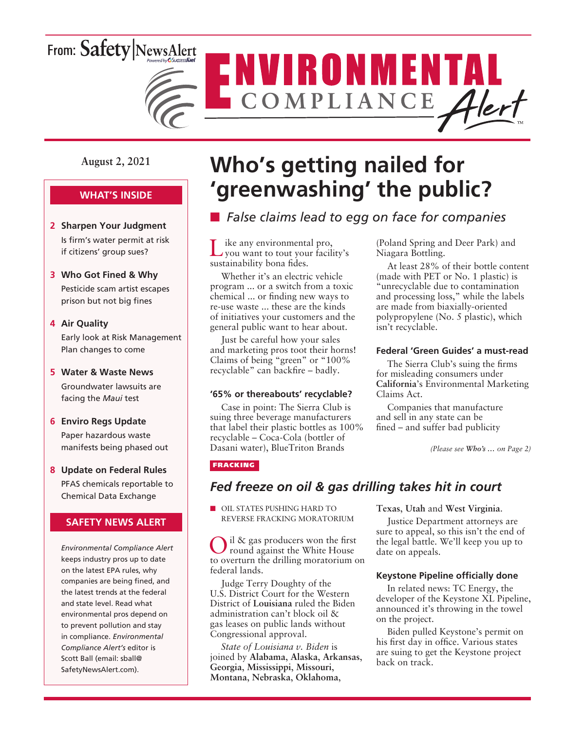# From: Safety NewsAlert



**August 2, 2021**

### **WHAT'S INSIDE**

- **2 Sharpen Your Judgment** Is firm's water permit at risk if citizens' group sues?
- **3 Who Got Fined & Why**

Pesticide scam artist escapes prison but not big fines

#### **4 Air Quality**

Early look at Risk Management Plan changes to come

#### **5 Water & Waste News**

Groundwater lawsuits are facing the *Maui* test

#### **6 Enviro Regs Update**

Paper hazardous waste manifests being phased out

**8 Update on Federal Rules** PFAS chemicals reportable to Chemical Data Exchange

#### **SAFETY NEWS ALERT**

*Environmental Compliance Alert* keeps industry pros up to date on the latest EPA rules, why companies are being fined, and the latest trends at the federal and state level. Read what environmental pros depend on to prevent pollution and stay in compliance. *Environmental Compliance Alert's* editor is Scott Ball (email: sball@ SafetyNewsAlert.com).

# **Who's getting nailed for 'greenwashing' the public?**

## **n** *False claims lead to egg on face for companies*

Like any environmental pro, you want to tout your facility's sustainability bona fides.

Whether it's an electric vehicle program ... or a switch from a toxic chemical ... or finding new ways to re-use waste ... these are the kinds of initiatives your customers and the general public want to hear about.

Just be careful how your sales and marketing pros toot their horns! Claims of being "green" or "100% recyclable" can backfire – badly.

#### **'65% or thereabouts' recyclable?**

Case in point: The Sierra Club is suing three beverage manufacturers that label their plastic bottles as 100% recyclable – Coca-Cola (bottler of Dasani water), BlueTriton Brands

(Poland Spring and Deer Park) and Niagara Bottling.

At least 28% of their bottle content (made with PET or No. 1 plastic) is "unrecyclable due to contamination and processing loss," while the labels are made from biaxially-oriented polypropylene (No. 5 plastic), which isn't recyclable.

#### **Federal 'Green Guides' a must-read**

The Sierra Club's suing the firms for misleading consumers under **California**'s Environmental Marketing Claims Act.

Companies that manufacture and sell in any state can be fined – and suffer bad publicity

*(Please see Who's … on Page 2)*

#### FRACKING

### *Fed freeze on oil & gas drilling takes hit in court*

**NOIL STATES PUSHING HARD TO** REVERSE FRACKING MORATORIUM

il & gas producers won the first round against the White House to overturn the drilling moratorium on federal lands.

Judge Terry Doughty of the U.S. District Court for the Western District of **Louisiana** ruled the Biden administration can't block oil & gas leases on public lands without Congressional approval.

*State of Louisiana v. Biden* is joined by **Alabama**, **Alaska**, **Arkansas**, **Georgia**, **Mississippi**, **Missouri**, **Montana**, **Nebraska**, **Oklahoma**,

**Texas**, **Utah** and **West Virginia**.

Justice Department attorneys are sure to appeal, so this isn't the end of the legal battle. We'll keep you up to date on appeals.

#### **Keystone Pipeline officially done**

In related news: TC Energy, the developer of the Keystone XL Pipeline, announced it's throwing in the towel on the project.

Biden pulled Keystone's permit on his first day in office. Various states are suing to get the Keystone project back on track.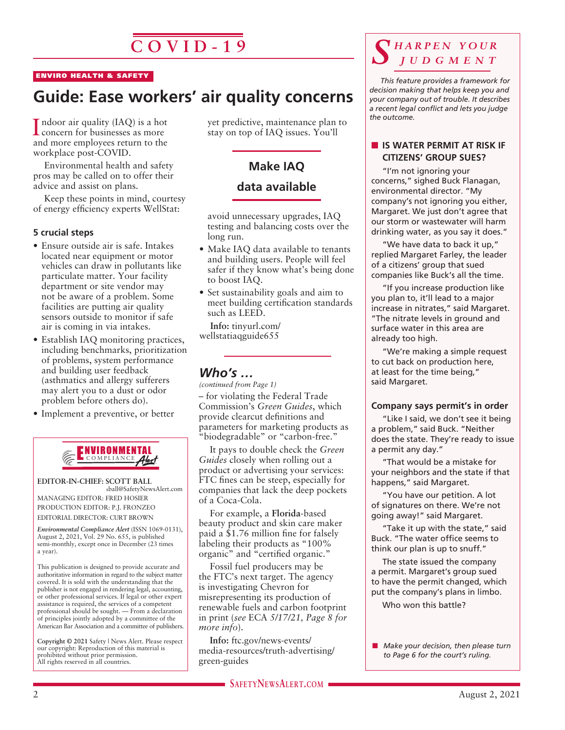# $\overline{C\overline{O}$  V<sub>ID</sub> - 19

#### ENVIRO HEALTH & SAFETY

# **Guide: Ease workers' air quality concerns**

I ndoor air quality (IAQ) is a hot<br>concern for businesses as more concern for businesses as more and more employees return to the workplace post-COVID.

Environmental health and safety pros may be called on to offer their advice and assist on plans.

Keep these points in mind, courtesy of energy efficiency experts WellStat:

#### **5 crucial steps**

- Ensure outside air is safe. Intakes located near equipment or motor vehicles can draw in pollutants like particulate matter. Your facility department or site vendor may not be aware of a problem. Some facilities are putting air quality sensors outside to monitor if safe air is coming in via intakes.
- Establish IAQ monitoring practices, including benchmarks, prioritization of problems, system performance and building user feedback (asthmatics and allergy sufferers may alert you to a dust or odor problem before others do).
- Implement a preventive, or better



**EDITOR-IN-CHIEF: SCOTT BALL** sball@SafetyNewsAlert.com

MANAGING EDITOR: FRED HOSIER PRODUCTION EDITOR: P.J. FRONZEO EDITORIAL DIRECTOR: CURT BROWN

*Environmental Compliance Alert* (ISSN 1069-0131), August 2, 2021, Vol. 29 No. 655, is published semi-monthly, except once in December (23 times a year).

This publication is designed to provide accurate and authoritative information in regard to the subject matter covered. It is sold with the understanding that the publisher is not engaged in rendering legal, accounting, or other professional services. If legal or other expert assistance is required, the services of a competent professional should be sought. — From a declaration of principles jointly adopted by a committee of the American Bar Association and a committee of publishers.

**Copyright © 2021** Safety | News Alert. Please respect our copyright: Reproduction of this material is prohibited without prior permission. All rights reserved in all countries.

yet predictive, maintenance plan to stay on top of IAQ issues. You'll

### **Make IAQ data available**

avoid unnecessary upgrades, IAQ testing and balancing costs over the long run.

- Make IAO data available to tenants and building users. People will feel safer if they know what's being done to boost IAQ.
- Set sustainability goals and aim to meet building certification standards such as LEED.

**Info:** tinyurl.com/ wellstatiaqguide655

### *Who's …*

– for violating the Federal Trade Commission's *Green Guides*, which provide clearcut definitions and parameters for marketing products as "biodegradable" or "carbon-free." *(continued from Page 1)*

It pays to double check the *Green Guides* closely when rolling out a product or advertising your services: FTC fines can be steep, especially for companies that lack the deep pockets of a Coca-Cola.

For example, a **Florida**-based beauty product and skin care maker paid a \$1.76 million fine for falsely labeling their products as "100% organic" and "certified organic."

Fossil fuel producers may be the FTC's next target. The agency is investigating Chevron for misrepresenting its production of renewable fuels and carbon footprint in print (*see* ECA *5/17/21, Page 8 for more info*).

**Info:** ftc.gov/news-events/ media-resources/truth-advertising/ green-guides

### *S h a r p e n y o u r j u d g m e n t*

*This feature provides a framework for decision making that helps keep you and your company out of trouble. It describes a recent legal conflict and lets you judge the outcome.*

#### **N** IS WATER PERMIT AT RISK IF **CITIZENS' GROUP SUES?**

"I'm not ignoring your concerns," sighed Buck Flanagan, environmental director. "My company's not ignoring you either, Margaret. We just don't agree that our storm or wastewater will harm drinking water, as you say it does."

"We have data to back it up," replied Margaret Farley, the leader of a citizens' group that sued companies like Buck's all the time.

"If you increase production like you plan to, it'll lead to a major increase in nitrates," said Margaret. "The nitrate levels in ground and surface water in this area are already too high.

"We're making a simple request to cut back on production here, at least for the time being," said Margaret.

#### **Company says permit's in order**

"Like I said, we don't see it being a problem," said Buck. "Neither does the state. They're ready to issue a permit any day."

"That would be a mistake for your neighbors and the state if that happens," said Margaret.

"You have our petition. A lot of signatures on there. We're not going away!" said Margaret.

"Take it up with the state," said Buck. "The water office seems to think our plan is up to snuff."

The state issued the company a permit. Margaret's group sued to have the permit changed, which put the company's plans in limbo. Who won this battle?

**n** *Make your decision, then please turn to Page 6 for the court's ruling.*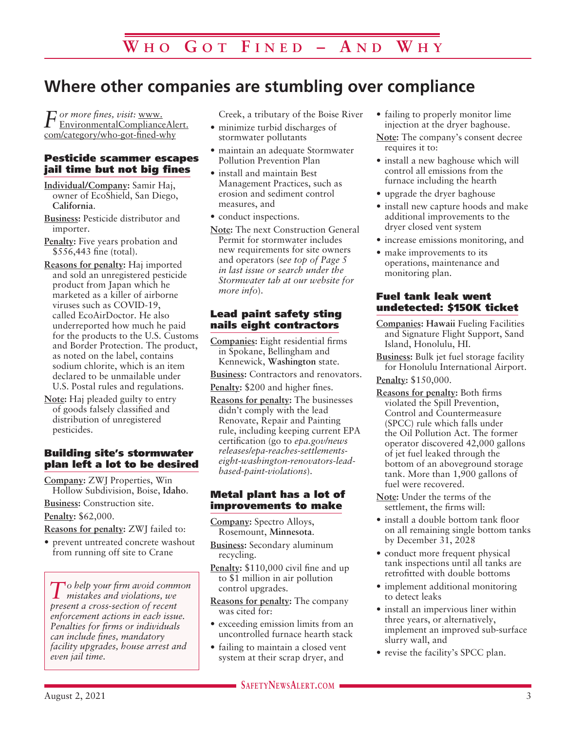# **Where other companies are stumbling over compliance**

*For more fines, visit:* www. EnvironmentalComplianceAlert. com/category/who-got-fined-why

#### Pesticide scammer escapes jail time but not big fines

- **Individual/Company:** Samir Haj, owner of EcoShield, San Diego, **California**.
- **Business:** Pesticide distributor and importer.
- **Penalty:** Five years probation and \$556,443 fine (total).
- **Reasons for penalty:** Haj imported and sold an unregistered pesticide product from Japan which he marketed as a killer of airborne viruses such as COVID-19, called EcoAirDoctor. He also underreported how much he paid for the products to the U.S. Customs and Border Protection. The product, as noted on the label, contains sodium chlorite, which is an item declared to be unmailable under U.S. Postal rules and regulations.
- **Note:** Haj pleaded guilty to entry of goods falsely classified and distribution of unregistered pesticides.

#### Building site's stormwater plan left a lot to be desired

**Company:** ZWJ Properties, Win Hollow Subdivision, Boise, **Idaho**.

**Business:** Construction site. **Penalty:** \$62,000.

**Reasons for penalty:** ZWJ failed to:

• prevent untreated concrete washout from running off site to Crane

*To help your firm avoid common mistakes and violations, we present a cross-section of recent enforcement actions in each issue. Penalties for firms or individuals can include fines, mandatory facility upgrades, house arrest and even jail time.*

Creek, a tributary of the Boise River

- minimize turbid discharges of stormwater pollutants
- maintain an adequate Stormwater Pollution Prevention Plan
- install and maintain Best Management Practices, such as erosion and sediment control measures, and
- conduct inspections.
- **Note:** The next Construction General Permit for stormwater includes new requirements for site owners and operators (s*ee top of Page 5 in last issue or search under the Stormwater tab at our website for more info*).

#### Lead paint safety sting nails eight contractors

**Companies:** Eight residential firms in Spokane, Bellingham and Kennewick, **Washington** state.

**Business:** Contractors and renovators.

- **Penalty:** \$200 and higher fines.
- **Reasons for penalty:** The businesses didn't comply with the lead Renovate, Repair and Painting rule, including keeping current EPA certification (go to *epa.gov/news releases/epa-reaches-settlementseight-washington-renovators-leadbased-paint-violations*).

#### Metal plant has a lot of improvements to make

**Company:** Spectro Alloys, Rosemount, **Minnesota**.

- **Business:** Secondary aluminum recycling.
- Penalty: \$110,000 civil fine and up to \$1 million in air pollution control upgrades.
- **Reasons for penalty:** The company was cited for:
- exceeding emission limits from an uncontrolled furnace hearth stack
- failing to maintain a closed vent system at their scrap dryer, and
- failing to properly monitor lime injection at the dryer baghouse.
- **Note:** The company's consent decree requires it to:
- install a new baghouse which will control all emissions from the furnace including the hearth
- upgrade the dryer baghouse
- install new capture hoods and make additional improvements to the dryer closed vent system
- increase emissions monitoring, and
- make improvements to its operations, maintenance and monitoring plan.

#### Fuel tank leak went undetected: \$150K ticket

- **Companies: Hawaii** Fueling Facilities and Signature Flight Support, Sand Island, Honolulu, HI.
- **Business:** Bulk jet fuel storage facility for Honolulu International Airport.

**Penalty:** \$150,000.

- **Reasons for penalty:** Both firms violated the Spill Prevention, Control and Countermeasure (SPCC) rule which falls under the Oil Pollution Act. The former operator discovered 42,000 gallons of jet fuel leaked through the bottom of an aboveground storage tank. More than 1,900 gallons of fuel were recovered.
- **Note:** Under the terms of the settlement, the firms will:
- install a double bottom tank floor on all remaining single bottom tanks by December 31, 2028
- conduct more frequent physical tank inspections until all tanks are retrofitted with double bottoms
- implement additional monitoring to detect leaks
- install an impervious liner within three years, or alternatively, implement an improved sub-surface slurry wall, and
- revise the facility's SPCC plan.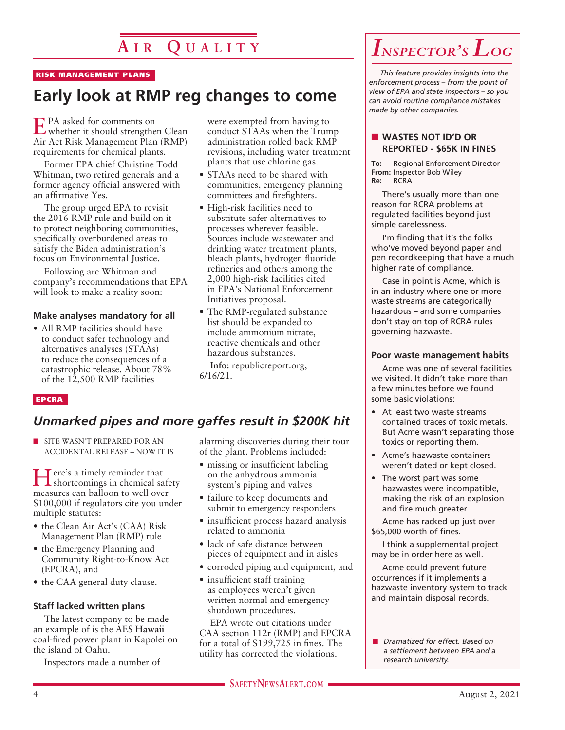# **A i r Q u a l i t y**

#### RISK MANAGEMENT PLANS

## **Early look at RMP reg changes to come**

EPA asked for comments on whether it should strengthen Clean Air Act Risk Management Plan (RMP) requirements for chemical plants.

Former EPA chief Christine Todd Whitman, two retired generals and a former agency official answered with an affirmative Yes.

The group urged EPA to revisit the 2016 RMP rule and build on it to protect neighboring communities, specifically overburdened areas to satisfy the Biden administration's focus on Environmental Justice.

Following are Whitman and company's recommendations that EPA will look to make a reality soon:

#### **Make analyses mandatory for all**

• All RMP facilities should have to conduct safer technology and alternatives analyses (STAAs) to reduce the consequences of a catastrophic release. About 78% of the 12,500 RMP facilities

#### EPCRA

### *Unmarked pipes and more gaffes result in \$200K hit*

**n** SITE WASN'T PREPARED FOR AN ACCIDENTAL RELEASE – NOW IT IS

Here's a timely reminder that shortcomings in chemical safety measures can balloon to well over \$100,000 if regulators cite you under multiple statutes:

- the Clean Air Act's (CAA) Risk Management Plan (RMP) rule
- the Emergency Planning and Community Right-to-Know Act (EPCRA), and
- the CAA general duty clause.

#### **Staff lacked written plans**

The latest company to be made an example of is the AES **Hawaii** coal-fired power plant in Kapolei on the island of Oahu.

Inspectors made a number of

were exempted from having to conduct STAAs when the Trump administration rolled back RMP revisions, including water treatment plants that use chlorine gas.

- STAAs need to be shared with communities, emergency planning committees and firefighters.
- High-risk facilities need to substitute safer alternatives to processes wherever feasible. Sources include wastewater and drinking water treatment plants, bleach plants, hydrogen fluoride refineries and others among the 2,000 high-risk facilities cited in EPA's National Enforcement Initiatives proposal.
- The RMP-regulated substance list should be expanded to include ammonium nitrate, reactive chemicals and other hazardous substances.

**Info:** republicreport.org, 6/16/21.

# alarming discoveries during their tour

- of the plant. Problems included: • missing or insufficient labeling
- on the anhydrous ammonia system's piping and valves
- failure to keep documents and submit to emergency responders
- insufficient process hazard analysis related to ammonia
- lack of safe distance between pieces of equipment and in aisles
- corroded piping and equipment, and
- insufficient staff training as employees weren't given written normal and emergency shutdown procedures.

EPA wrote out citations under CAA section 112r (RMP) and EPCRA for a total of \$199,725 in fines. The utility has corrected the violations.

*This feature provides insights into the enforcement process – from the point of view of EPA and state inspectors – so you can avoid routine compliance mistakes made by other companies.*

#### **N** WASTES NOT ID'D OR **REPORTED - \$65K IN FINES**

**To:** Regional Enforcement Director **From:** Inspector Bob Wiley **Re:** RCRA

There's usually more than one reason for RCRA problems at regulated facilities beyond just simple carelessness.

I'm finding that it's the folks who've moved beyond paper and pen recordkeeping that have a much higher rate of compliance.

Case in point is Acme, which is in an industry where one or more waste streams are categorically hazardous – and some companies don't stay on top of RCRA rules governing hazwaste.

#### **Poor waste management habits**

Acme was one of several facilities we visited. It didn't take more than a few minutes before we found some basic violations:

- At least two waste streams contained traces of toxic metals. But Acme wasn't separating those toxics or reporting them.
- Acme's hazwaste containers weren't dated or kept closed.
- The worst part was some hazwastes were incompatible, making the risk of an explosion and fire much greater.

Acme has racked up just over \$65,000 worth of fines.

I think a supplemental project may be in order here as well.

Acme could prevent future occurrences if it implements a hazwaste inventory system to track and maintain disposal records.

n *Dramatized for effect. Based on a settlement between EPA and a research university.*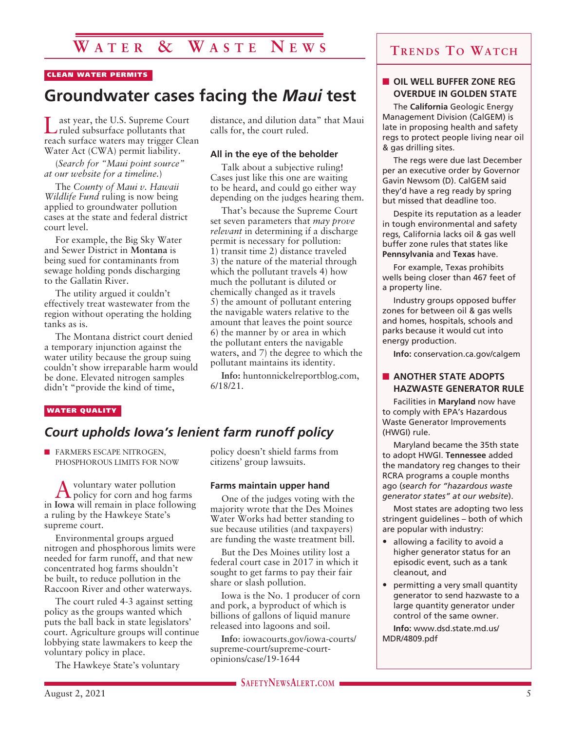### **W a t e r & W a s t e N e w s**

#### CLEAN WATER PERMITS

### **Groundwater cases facing the** *Maui* **test**

ast year, the U.S. Supreme Court ruled subsurface pollutants that reach surface waters may trigger Clean Water Act (CWA) permit liability.

(*Search for "Maui point source" at our website for a timeline.*)

The *County of Maui v. Hawaii Wildlife Fund* ruling is now being applied to groundwater pollution cases at the state and federal district court level.

For example, the Big Sky Water and Sewer District in **Montana** is being sued for contaminants from sewage holding ponds discharging to the Gallatin River.

The utility argued it couldn't effectively treat wastewater from the region without operating the holding tanks as is.

The Montana district court denied a temporary injunction against the water utility because the group suing couldn't show irreparable harm would be done. Elevated nitrogen samples didn't "provide the kind of time,

distance, and dilution data" that Maui calls for, the court ruled.

#### **All in the eye of the beholder**

Talk about a subjective ruling! Cases just like this one are waiting to be heard, and could go either way depending on the judges hearing them.

That's because the Supreme Court set seven parameters that *may prove relevant* in determining if a discharge permit is necessary for pollution: 1) transit time 2) distance traveled 3) the nature of the material through which the pollutant travels 4) how much the pollutant is diluted or chemically changed as it travels 5) the amount of pollutant entering the navigable waters relative to the amount that leaves the point source 6) the manner by or area in which the pollutant enters the navigable waters, and 7) the degree to which the pollutant maintains its identity.

**Info:** huntonnickelreportblog.com, 6/18/21.

#### WATER QUALITY

### *Court upholds Iowa's lenient farm runoff policy*

**N FARMERS ESCAPE NITROGEN,** PHOSPHOROUS LIMITS FOR NOW

A voluntary water pollution policy for corn and hog farms in **Iowa** will remain in place following a ruling by the Hawkeye State's supreme court.

Environmental groups argued nitrogen and phosphorous limits were needed for farm runoff, and that new concentrated hog farms shouldn't be built, to reduce pollution in the Raccoon River and other waterways.

The court ruled 4-3 against setting policy as the groups wanted which puts the ball back in state legislators' court. Agriculture groups will continue lobbying state lawmakers to keep the voluntary policy in place.

The Hawkeye State's voluntary

policy doesn't shield farms from citizens' group lawsuits.

#### **Farms maintain upper hand**

One of the judges voting with the majority wrote that the Des Moines Water Works had better standing to sue because utilities (and taxpayers) are funding the waste treatment bill.

But the Des Moines utility lost a federal court case in 2017 in which it sought to get farms to pay their fair share or slash pollution.

Iowa is the No. 1 producer of corn and pork, a byproduct of which is billions of gallons of liquid manure released into lagoons and soil.

**Info**: iowacourts.gov/iowa-courts/ supreme-court/supreme-courtopinions/case/19-1644

### **Trends To Watch**

#### **N** OIL WELL BUFFER ZONE REG **OVERDUE IN GOLDEN STATE**

The **California** Geologic Energy Management Division (CalGEM) is late in proposing health and safety regs to protect people living near oil & gas drilling sites.

The regs were due last December per an executive order by Governor Gavin Newsom (D). CalGEM said they'd have a reg ready by spring but missed that deadline too.

Despite its reputation as a leader in tough environmental and safety regs, California lacks oil & gas well buffer zone rules that states like **Pennsylvania** and **Texas** have.

For example, Texas prohibits wells being closer than 467 feet of a property line.

Industry groups opposed buffer zones for between oil & gas wells and homes, hospitals, schools and parks because it would cut into energy production.

**Info:** conservation.ca.gov/calgem

#### **NOTHER STATE ADOPTS HAZWASTE GENERATOR RULE**

Facilities in **Maryland** now have to comply with EPA's Hazardous Waste Generator Improvements (HWGI) rule.

Maryland became the 35th state to adopt HWGI. **Tennessee** added the mandatory reg changes to their RCRA programs a couple months ago (*search for "hazardous waste generator states" at our website*).

Most states are adopting two less stringent guidelines – both of which are popular with industry:

- allowing a facility to avoid a higher generator status for an episodic event, such as a tank cleanout, and
- permitting a very small quantity generator to send hazwaste to a large quantity generator under control of the same owner.

**Info:** www.dsd.state.md.us/ MDR/4809.pdf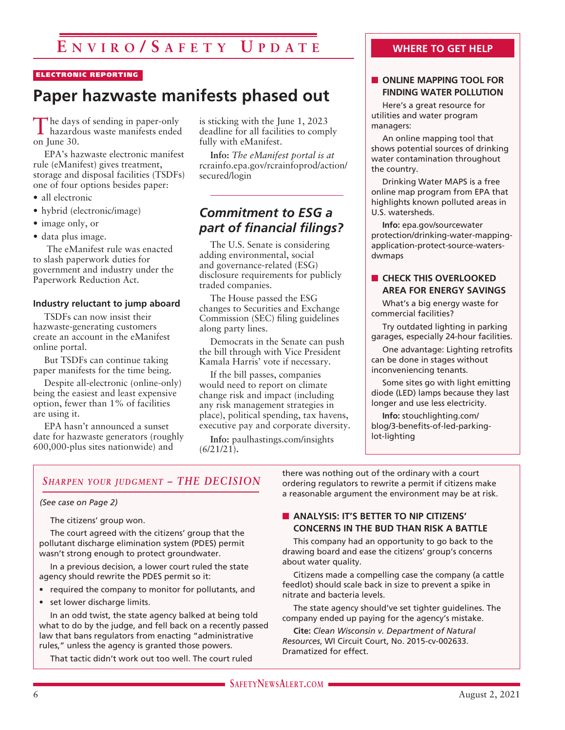# **E nvi r o / S a f e t y U p d a t e**

#### ELECTRONIC REPORTING

# **Paper hazwaste manifests phased out**

The days of sending in paper-only hazardous waste manifests ended on June 30.

EPA's hazwaste electronic manifest rule (eManifest) gives treatment, storage and disposal facilities (TSDFs) one of four options besides paper:

- all electronic
- hybrid (electronic/image)
- image only, or
- data plus image.

 The eManifest rule was enacted to slash paperwork duties for government and industry under the Paperwork Reduction Act.

#### **Industry reluctant to jump aboard**

TSDFs can now insist their hazwaste-generating customers create an account in the eManifest online portal.

But TSDFs can continue taking paper manifests for the time being.

Despite all-electronic (online-only) being the easiest and least expensive option, fewer than 1% of facilities are using it.

EPA hasn't announced a sunset date for hazwaste generators (roughly 600,000-plus sites nationwide) and

is sticking with the June 1, 2023 deadline for all facilities to comply fully with eManifest.

**Info:** *The eManifest portal is at* rcrainfo.epa.gov/rcrainfoprod/action/ secured/login

### *Commitment to ESG a part of financial filings?*

The U.S. Senate is considering adding environmental, social and governance-related (ESG) disclosure requirements for publicly traded companies.

The House passed the ESG changes to Securities and Exchange Commission (SEC) filing guidelines along party lines.

Democrats in the Senate can push the bill through with Vice President Kamala Harris' vote if necessary.

If the bill passes, companies would need to report on climate change risk and impact (including any risk management strategies in place), political spending, tax havens, executive pay and corporate diversity.

**Info:** paulhastings.com/insights (6/21/21)**.**

#### **WHERE TO GET HELP**

#### **NONLINE MAPPING TOOL FOR FINDING WATER POLLUTION**

Here's a great resource for utilities and water program managers:

An online mapping tool that shows potential sources of drinking water contamination throughout the country.

Drinking Water MAPS is a free online map program from EPA that highlights known polluted areas in U.S. watersheds.

**Info:** epa.gov/sourcewater protection/drinking-water-mappingapplication-protect-source-watersdwmaps

#### **N** CHECK THIS OVERLOOKED **AREA FOR ENERGY SAVINGS**

What's a big energy waste for commercial facilities?

Try outdated lighting in parking garages, especially 24-hour facilities.

One advantage: Lighting retrofits can be done in stages without inconveniencing tenants.

Some sites go with light emitting diode (LED) lamps because they last longer and use less electricity.

**Info:** stouchlighting.com/ blog/3-benefits-of-led-parkinglot-lighting

#### *Sharpen your judgment – THE DECISION*

#### *(See case on Page 2)*

The citizens' group won.

The court agreed with the citizens' group that the pollutant discharge elimination system (PDES) permit wasn't strong enough to protect groundwater.

In a previous decision, a lower court ruled the state agency should rewrite the PDES permit so it:

- required the company to monitor for pollutants, and
- set lower discharge limits.

In an odd twist, the state agency balked at being told what to do by the judge, and fell back on a recently passed law that bans regulators from enacting "administrative rules," unless the agency is granted those powers.

That tactic didn't work out too well. The court ruled

there was nothing out of the ordinary with a court ordering regulators to rewrite a permit if citizens make a reasonable argument the environment may be at risk.

#### **NO ANALYSIS: IT'S BETTER TO NIP CITIZENS' CONCERNS IN THE BUD THAN RISK A BATTLE**

This company had an opportunity to go back to the drawing board and ease the citizens' group's concerns about water quality.

Citizens made a compelling case the company (a cattle feedlot) should scale back in size to prevent a spike in nitrate and bacteria levels.

The state agency should've set tighter guidelines. The company ended up paying for the agency's mistake.

**Cite:** *Clean Wisconsin v. Department of Natural Resources*, WI Circuit Court, No. 2015-cv-002633. Dramatized for effect.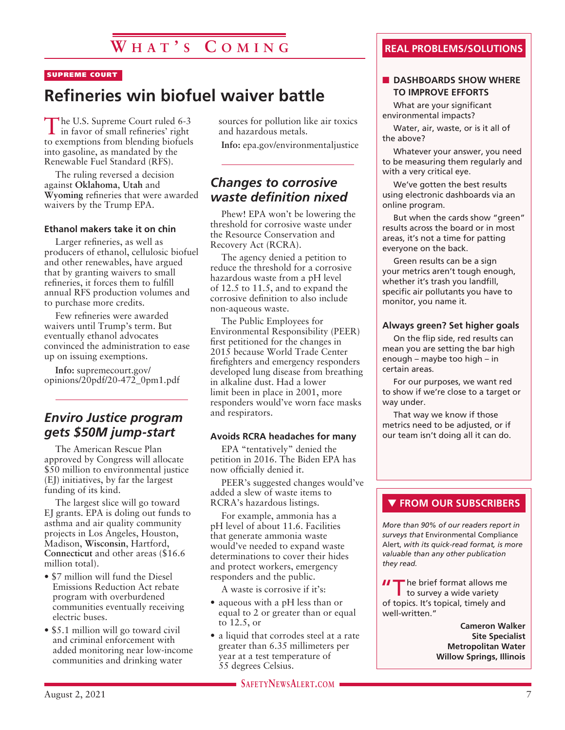# **W h a t ' s C o m ing**

#### SUPREME COURT

# **Refineries win biofuel waiver battle**

The U.S. Supreme Court ruled 6-3 in favor of small refineries' right to exemptions from blending biofuels into gasoline, as mandated by the Renewable Fuel Standard (RFS).

The ruling reversed a decision against **Oklahoma**, **Utah** and **Wyoming** refineries that were awarded waivers by the Trump EPA.

#### **Ethanol makers take it on chin**

Larger refineries, as well as producers of ethanol, cellulosic biofuel and other renewables, have argued that by granting waivers to small refineries, it forces them to fulfill annual RFS production volumes and to purchase more credits.

Few refineries were awarded waivers until Trump's term. But eventually ethanol advocates convinced the administration to ease up on issuing exemptions.

**Info:** supremecourt.gov/ opinions/20pdf/20-472\_0pm1.pdf

### *Enviro Justice program gets \$50M jump-start*

The American Rescue Plan approved by Congress will allocate \$50 million to environmental justice (EJ) initiatives, by far the largest funding of its kind.

The largest slice will go toward EJ grants. EPA is doling out funds to asthma and air quality community projects in Los Angeles, Houston, Madison, **Wisconsin**, Hartford, **Connecticut** and other areas (\$16.6 million total).

- \$7 million will fund the Diesel Emissions Reduction Act rebate program with overburdened communities eventually receiving electric buses.
- \$5.1 million will go toward civil and criminal enforcement with added monitoring near low-income communities and drinking water

sources for pollution like air toxics and hazardous metals.

**Info:** epa.gov/environmentaljustice

### *Changes to corrosive waste definition nixed*

Phew! EPA won't be lowering the threshold for corrosive waste under the Resource Conservation and Recovery Act (RCRA).

The agency denied a petition to reduce the threshold for a corrosive hazardous waste from a pH level of 12.5 to 11.5, and to expand the corrosive definition to also include non-aqueous waste.

The Public Employees for Environmental Responsibility (PEER) first petitioned for the changes in 2015 because World Trade Center firefighters and emergency responders developed lung disease from breathing in alkaline dust. Had a lower limit been in place in 2001, more responders would've worn face masks and respirators.

#### **Avoids RCRA headaches for many**

EPA "tentatively" denied the petition in 2016. The Biden EPA has now officially denied it.

PEER's suggested changes would've added a slew of waste items to RCRA's hazardous listings.

For example, ammonia has a pH level of about 11.6. Facilities that generate ammonia waste would've needed to expand waste determinations to cover their hides and protect workers, emergency responders and the public.

A waste is corrosive if it's:

- aqueous with a pH less than or equal to 2 or greater than or equal to 12.5, or
- a liquid that corrodes steel at a rate greater than 6.35 millimeters per year at a test temperature of 55 degrees Celsius.

**SAFETYNEWSALERT.COM** 

#### **REAL PROBLEMS/SOLUTIONS**

#### **N** DASHBOARDS SHOW WHERE **TO IMPROVE EFFORTS**

What are your significant environmental impacts?

Water, air, waste, or is it all of the above?

Whatever your answer, you need to be measuring them regularly and with a very critical eye.

We've gotten the best results using electronic dashboards via an online program.

But when the cards show "green" results across the board or in most areas, it's not a time for patting everyone on the back.

Green results can be a sign your metrics aren't tough enough, whether it's trash you landfill, specific air pollutants you have to monitor, you name it.

#### **Always green? Set higher goals**

On the flip side, red results can mean you are setting the bar high enough – maybe too high – in certain areas.

For our purposes, we want red to show if we're close to a target or way under.

That way we know if those metrics need to be adjusted, or if our team isn't doing all it can do.

#### **THE FROM OUR SUBSCRIBERS**

*More than 90% of our readers report in surveys that* Environmental Compliance Alert, *with its quick-read format, is more valuable than any other publication they read.*

**II** The brief format allows me<br>to survey a wide variety of topics. It's topical, timely and well-written."

> **Cameron Walker Site Specialist Metropolitan Water Willow Springs, Illinois**